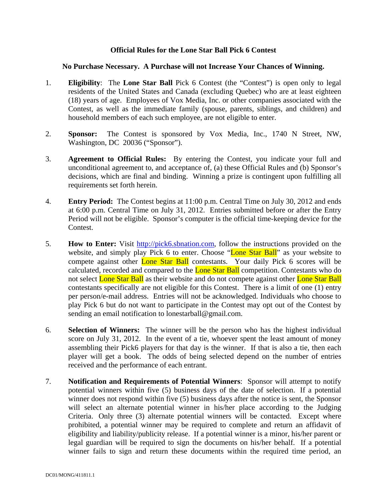## **Official Rules for the Lone Star Ball Pick 6 Contest**

## **No Purchase Necessary. A Purchase will not Increase Your Chances of Winning.**

- 1. **Eligibility**: The **Lone Star Ball** Pick 6 Contest (the "Contest") is open only to legal residents of the United States and Canada (excluding Quebec) who are at least eighteen (18) years of age. Employees of Vox Media, Inc. or other companies associated with the Contest, as well as the immediate family (spouse, parents, siblings, and children) and household members of each such employee, are not eligible to enter.
- 2. **Sponsor:** The Contest is sponsored by Vox Media, Inc., 1740 N Street, NW, Washington, DC 20036 ("Sponsor").
- 3. **Agreement to Official Rules:** By entering the Contest, you indicate your full and unconditional agreement to, and acceptance of, (a) these Official Rules and (b) Sponsor's decisions, which are final and binding. Winning a prize is contingent upon fulfilling all requirements set forth herein.
- 4. **Entry Period:** The Contest begins at 11:00 p.m. Central Time on July 30, 2012 and ends at 6:00 p.m. Central Time on July 31, 2012. Entries submitted before or after the Entry Period will not be eligible. Sponsor's computer is the official time-keeping device for the Contest.
- 5. **How to Enter:** Visit http://pick6.sbnation.com, follow the instructions provided on the website, and simply play Pick 6 to enter. Choose "Lone Star Ball" as your website to compete against other Lone Star Ball contestants. Your daily Pick 6 scores will be calculated, recorded and compared to the **Lone Star Ball** competition. Contestants who do not select **Lone Star Ball** as their website and do not compete against other **Lone Star Ball** contestants specifically are not eligible for this Contest. There is a limit of one (1) entry per person/e-mail address. Entries will not be acknowledged. Individuals who choose to play Pick 6 but do not want to participate in the Contest may opt out of the Contest by sending an email notification to lonestarball@gmail.com.
- 6. **Selection of Winners:** The winner will be the person who has the highest individual score on July 31, 2012. In the event of a tie, whoever spent the least amount of money assembling their Pick6 players for that day is the winner. If that is also a tie, then each player will get a book. The odds of being selected depend on the number of entries received and the performance of each entrant.
- 7. **Notification and Requirements of Potential Winners**: Sponsor will attempt to notify potential winners within five (5) business days of the date of selection. If a potential winner does not respond within five (5) business days after the notice is sent, the Sponsor will select an alternate potential winner in his/her place according to the Judging Criteria. Only three (3) alternate potential winners will be contacted. Except where prohibited, a potential winner may be required to complete and return an affidavit of eligibility and liability/publicity release. If a potential winner is a minor, his/her parent or legal guardian will be required to sign the documents on his/her behalf. If a potential winner fails to sign and return these documents within the required time period, an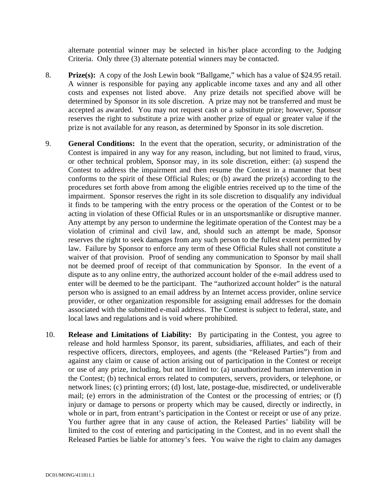alternate potential winner may be selected in his/her place according to the Judging Criteria. Only three (3) alternate potential winners may be contacted.

- 8. **Prize(s):** A copy of the Josh Lewin book "Ballgame," which has a value of \$24.95 retail. A winner is responsible for paying any applicable income taxes and any and all other costs and expenses not listed above. Any prize details not specified above will be determined by Sponsor in its sole discretion. A prize may not be transferred and must be accepted as awarded. You may not request cash or a substitute prize; however, Sponsor reserves the right to substitute a prize with another prize of equal or greater value if the prize is not available for any reason, as determined by Sponsor in its sole discretion.
- 9. **General Conditions:** In the event that the operation, security, or administration of the Contest is impaired in any way for any reason, including, but not limited to fraud, virus, or other technical problem, Sponsor may, in its sole discretion, either: (a) suspend the Contest to address the impairment and then resume the Contest in a manner that best conforms to the spirit of these Official Rules; or (b) award the prize(s) according to the procedures set forth above from among the eligible entries received up to the time of the impairment. Sponsor reserves the right in its sole discretion to disqualify any individual it finds to be tampering with the entry process or the operation of the Contest or to be acting in violation of these Official Rules or in an unsportsmanlike or disruptive manner. Any attempt by any person to undermine the legitimate operation of the Contest may be a violation of criminal and civil law, and, should such an attempt be made, Sponsor reserves the right to seek damages from any such person to the fullest extent permitted by law. Failure by Sponsor to enforce any term of these Official Rules shall not constitute a waiver of that provision. Proof of sending any communication to Sponsor by mail shall not be deemed proof of receipt of that communication by Sponsor. In the event of a dispute as to any online entry, the authorized account holder of the e-mail address used to enter will be deemed to be the participant. The "authorized account holder" is the natural person who is assigned to an email address by an Internet access provider, online service provider, or other organization responsible for assigning email addresses for the domain associated with the submitted e-mail address. The Contest is subject to federal, state, and local laws and regulations and is void where prohibited.
- 10. **Release and Limitations of Liability:** By participating in the Contest, you agree to release and hold harmless Sponsor, its parent, subsidiaries, affiliates, and each of their respective officers, directors, employees, and agents (the "Released Parties") from and against any claim or cause of action arising out of participation in the Contest or receipt or use of any prize, including, but not limited to: (a) unauthorized human intervention in the Contest; (b) technical errors related to computers, servers, providers, or telephone, or network lines; (c) printing errors; (d) lost, late, postage-due, misdirected, or undeliverable mail; (e) errors in the administration of the Contest or the processing of entries; or (f) injury or damage to persons or property which may be caused, directly or indirectly, in whole or in part, from entrant's participation in the Contest or receipt or use of any prize. You further agree that in any cause of action, the Released Parties' liability will be limited to the cost of entering and participating in the Contest, and in no event shall the Released Parties be liable for attorney's fees. You waive the right to claim any damages